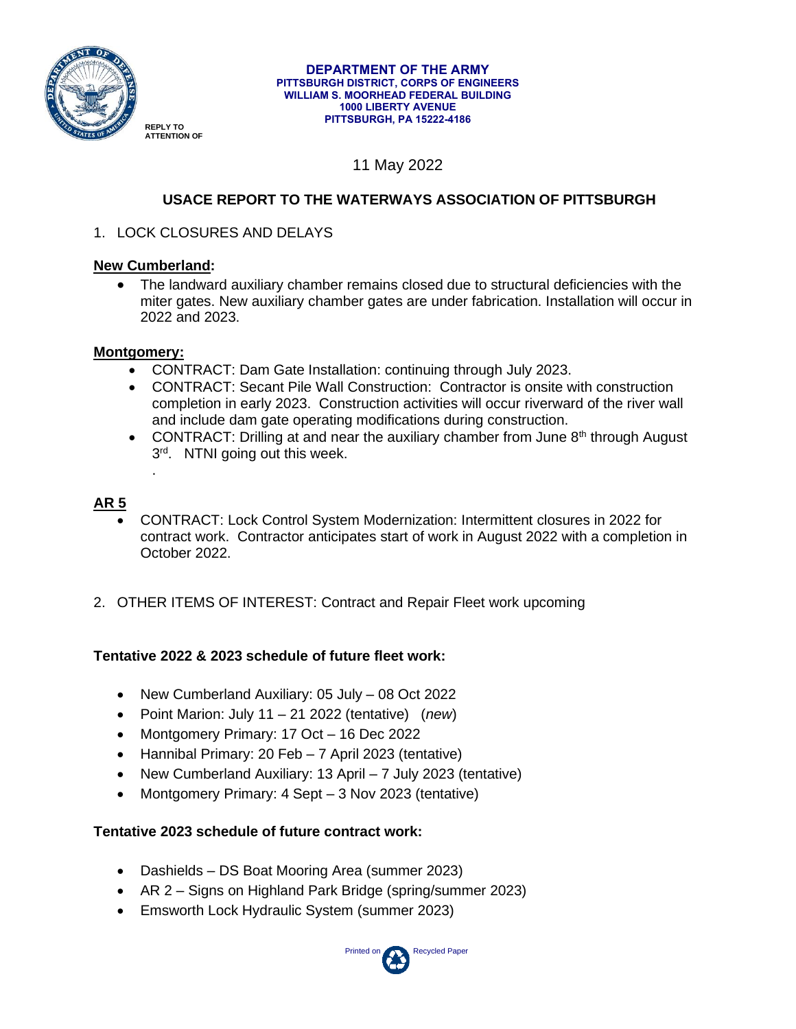

#### **DEPARTMENT OF THE ARMY PITTSBURGH DISTRICT, CORPS OF ENGINEERS WILLIAM S. MOORHEAD FEDERAL BUILDING 1000 LIBERTY AVENUE PITTSBURGH, PA 15222-4186**

# 11 May 2022

# **USACE REPORT TO THE WATERWAYS ASSOCIATION OF PITTSBURGH**

1. LOCK CLOSURES AND DELAYS

## **New Cumberland:**

• The landward auxiliary chamber remains closed due to structural deficiencies with the miter gates. New auxiliary chamber gates are under fabrication. Installation will occur in 2022 and 2023.

## **Montgomery:**

.

- CONTRACT: Dam Gate Installation: continuing through July 2023.
- CONTRACT: Secant Pile Wall Construction: Contractor is onsite with construction completion in early 2023. Construction activities will occur riverward of the river wall and include dam gate operating modifications during construction.
- CONTRACT: Drilling at and near the auxiliary chamber from June  $8<sup>th</sup>$  through August 3<sup>rd</sup>. NTNI going out this week.

# **AR 5**

- CONTRACT: Lock Control System Modernization: Intermittent closures in 2022 for contract work. Contractor anticipates start of work in August 2022 with a completion in October 2022.
- 2. OTHER ITEMS OF INTEREST: Contract and Repair Fleet work upcoming

# **Tentative 2022 & 2023 schedule of future fleet work:**

- New Cumberland Auxiliary: 05 July 08 Oct 2022
- Point Marion: July 11 21 2022 (tentative) (*new*)
- Montgomery Primary: 17 Oct 16 Dec 2022
- Hannibal Primary: 20 Feb 7 April 2023 (tentative)
- New Cumberland Auxiliary: 13 April 7 July 2023 (tentative)
- Montgomery Primary: 4 Sept 3 Nov 2023 (tentative)

## **Tentative 2023 schedule of future contract work:**

- Dashields DS Boat Mooring Area (summer 2023)
- AR 2 Signs on Highland Park Bridge (spring/summer 2023)
- Emsworth Lock Hydraulic System (summer 2023)

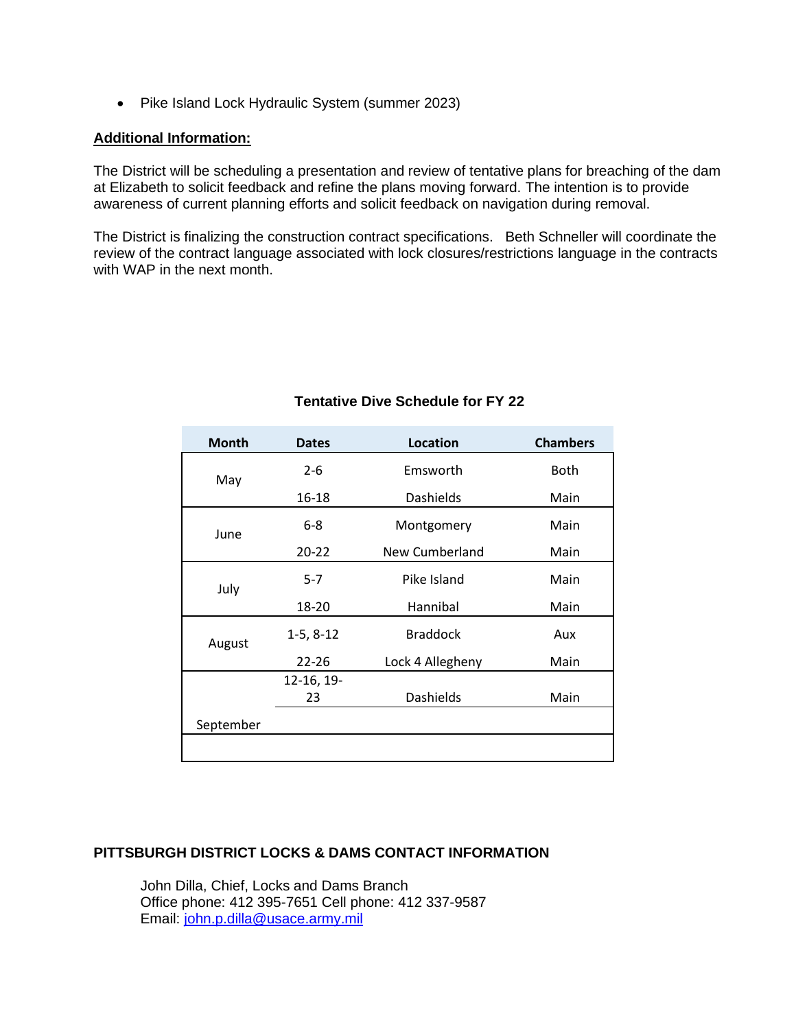• Pike Island Lock Hydraulic System (summer 2023)

#### **Additional Information:**

The District will be scheduling a presentation and review of tentative plans for breaching of the dam at Elizabeth to solicit feedback and refine the plans moving forward. The intention is to provide awareness of current planning efforts and solicit feedback on navigation during removal.

The District is finalizing the construction contract specifications. Beth Schneller will coordinate the review of the contract language associated with lock closures/restrictions language in the contracts with WAP in the next month.

| <b>Month</b> | <b>Dates</b> | Location         | <b>Chambers</b> |
|--------------|--------------|------------------|-----------------|
| May          | $2 - 6$      | Emsworth         | <b>Both</b>     |
|              | 16-18        | <b>Dashields</b> | Main            |
| June         | $6-8$        | Montgomery       | Main            |
|              | $20 - 22$    | New Cumberland   | Main            |
| July         | $5 - 7$      | Pike Island      | Main            |
|              | 18-20        | Hannibal         | Main            |
| August       | $1-5, 8-12$  | <b>Braddock</b>  | Aux             |
|              | $22 - 26$    | Lock 4 Allegheny | Main            |
|              | 12-16, 19-   |                  |                 |
|              | 23           | <b>Dashields</b> | Main            |
| September    |              |                  |                 |
|              |              |                  |                 |

## **Tentative Dive Schedule for FY 22**

#### **PITTSBURGH DISTRICT LOCKS & DAMS CONTACT INFORMATION**

John Dilla, Chief, Locks and Dams Branch Office phone: 412 395-7651 Cell phone: 412 337-9587 Email: [john.p.dilla@usace.army.mil](file://///COE-LRPNV002PIT.LRP.DS.USACE.ARMY.Mil/SecureShare$/OP/OP-L/Waterways%20Association%20of%20Pgh/Reports/CY%2018/john.p.dilla@usace.army.mil)